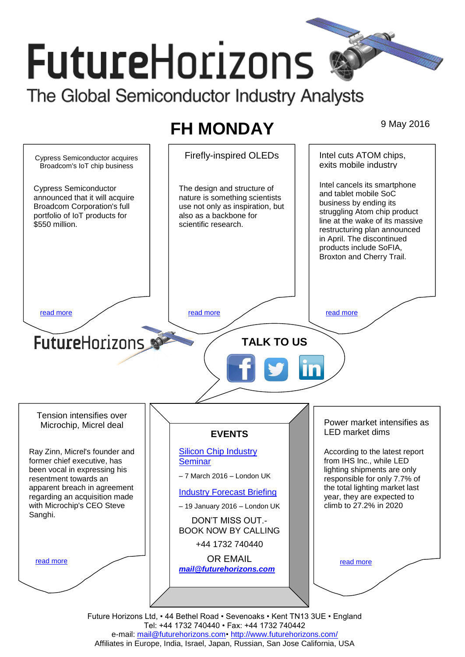# **FutureHorizons** The Global Semiconductor Industry Analysts

# **FH MONDAY** 9 May 2016



e-mail: mail@futurehorizons.com• http://www.futurehorizons.com/ Affiliates in Europe, India, Israel, Japan, Russian, San Jose California, USA